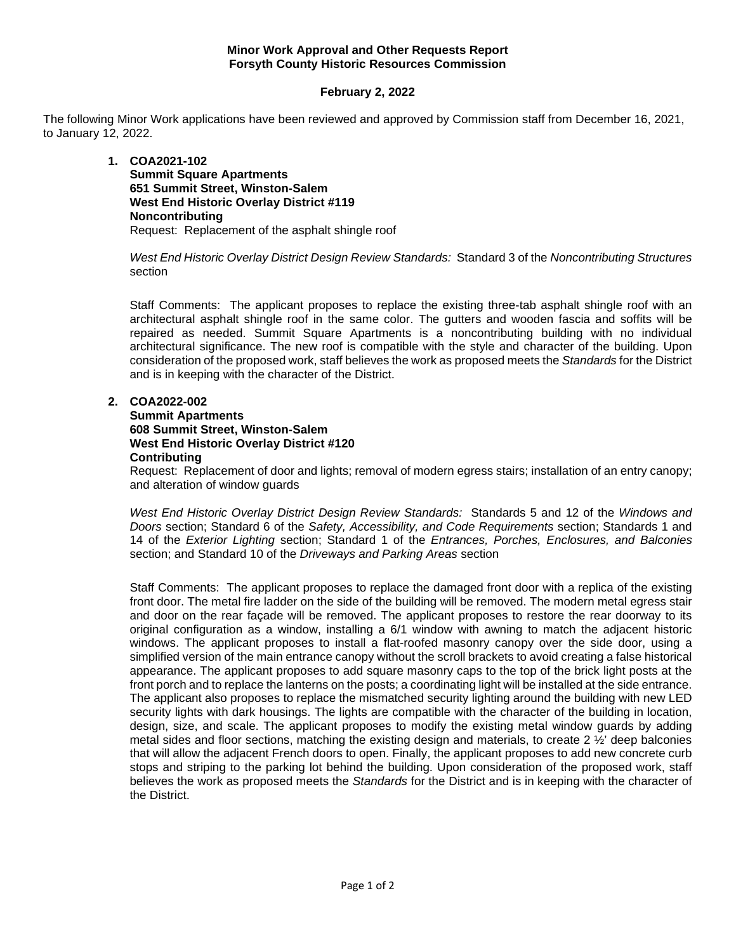#### **Minor Work Approval and Other Requests Report Forsyth County Historic Resources Commission**

## **February 2, 2022**

The following Minor Work applications have been reviewed and approved by Commission staff from December 16, 2021, to January 12, 2022.

> **1. COA2021-102 Summit Square Apartments 651 Summit Street, Winston-Salem West End Historic Overlay District #119 Noncontributing** Request: Replacement of the asphalt shingle roof

*West End Historic Overlay District Design Review Standards:* Standard 3 of the *Noncontributing Structures* section

Staff Comments: The applicant proposes to replace the existing three-tab asphalt shingle roof with an architectural asphalt shingle roof in the same color. The gutters and wooden fascia and soffits will be repaired as needed. Summit Square Apartments is a noncontributing building with no individual architectural significance. The new roof is compatible with the style and character of the building. Upon consideration of the proposed work, staff believes the work as proposed meets the *Standards* for the District and is in keeping with the character of the District.

#### **2. COA2022-002**

**Summit Apartments 608 Summit Street, Winston-Salem West End Historic Overlay District #120 Contributing**

Request: Replacement of door and lights; removal of modern egress stairs; installation of an entry canopy; and alteration of window guards

*West End Historic Overlay District Design Review Standards:* Standards 5 and 12 of the *Windows and Doors* section; Standard 6 of the *Safety, Accessibility, and Code Requirements* section; Standards 1 and 14 of the *Exterior Lighting* section; Standard 1 of the *Entrances, Porches, Enclosures, and Balconies* section; and Standard 10 of the *Driveways and Parking Areas* section

Staff Comments: The applicant proposes to replace the damaged front door with a replica of the existing front door. The metal fire ladder on the side of the building will be removed. The modern metal egress stair and door on the rear façade will be removed. The applicant proposes to restore the rear doorway to its original configuration as a window, installing a 6/1 window with awning to match the adjacent historic windows. The applicant proposes to install a flat-roofed masonry canopy over the side door, using a simplified version of the main entrance canopy without the scroll brackets to avoid creating a false historical appearance. The applicant proposes to add square masonry caps to the top of the brick light posts at the front porch and to replace the lanterns on the posts; a coordinating light will be installed at the side entrance. The applicant also proposes to replace the mismatched security lighting around the building with new LED security lights with dark housings. The lights are compatible with the character of the building in location, design, size, and scale. The applicant proposes to modify the existing metal window guards by adding metal sides and floor sections, matching the existing design and materials, to create 2 ½' deep balconies that will allow the adjacent French doors to open. Finally, the applicant proposes to add new concrete curb stops and striping to the parking lot behind the building. Upon consideration of the proposed work, staff believes the work as proposed meets the *Standards* for the District and is in keeping with the character of the District.